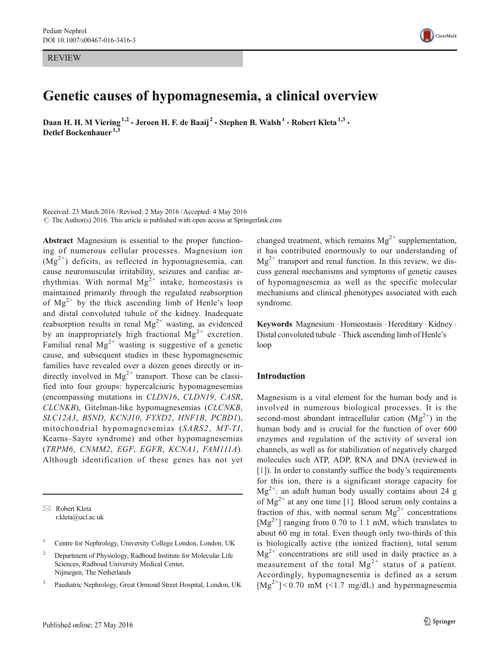REVIEW



# Genetic causes of hypomagnesemia, a clinical overview

Daan H. H. M Viering<sup>1,2</sup>  $\cdot$  Jeroen H. F. de Baaij<sup>2</sup>  $\cdot$  Stephen B. Walsh<sup>1</sup>  $\cdot$  Robert Kleta<sup>1,3</sup>  $\cdot$ Detlef Bockenhauer<sup>1,3</sup>

Received: 23 March 2016 /Revised: 2 May 2016 /Accepted: 4 May 2016  $\odot$  The Author(s) 2016. This article is published with open access at Springerlink.com

Abstract Magnesium is essential to the proper functioning of numerous cellular processes. Magnesium ion  $(Mg<sup>2+</sup>)$  deficits, as reflected in hypomagnesemia, can cause neuromuscular irritability, seizures and cardiac arrhythmias. With normal  $Mg^{2+}$  intake, homeostasis is maintained primarily through the regulated reabsorption of  $Mg^{2+}$  by the thick ascending limb of Henle's loop and distal convoluted tubule of the kidney. Inadequate reabsorption results in renal  $Mg^{2+}$  wasting, as evidenced by an inappropriately high fractional  $Mg^{2+}$  excretion. Familial renal  $Mg^{2+}$  wasting is suggestive of a genetic cause, and subsequent studies in these hypomagnesemic families have revealed over a dozen genes directly or indirectly involved in  $Mg^{2+}$  transport. Those can be classified into four groups: hypercalciuric hypomagnesemias (encompassing mutations in CLDN16, CLDN19, CASR, CLCNKB), Gitelman-like hypomagnesemias (CLCNKB, SLC12A3, BSND, KCNJ10, FYXD2, HNF1B, PCBD1), mitochondrial hypomagnesemias (SARS2, MT-TI, Kearns–Sayre syndrome) and other hypomagnesemias (TRPM6, CNMM2, EGF, EGFR, KCNA1, FAM111A). Although identification of these genes has not yet

 $\boxtimes$  Robert Kleta r.kleta@ucl.ac.uk changed treatment, which remains  $Mg^{2+}$  supplementation, it has contributed enormously to our understanding of  $Mg^{2+}$  transport and renal function. In this review, we discuss general mechanisms and symptoms of genetic causes of hypomagnesemia as well as the specific molecular mechanisms and clinical phenotypes associated with each syndrome.

Keywords Magnesium . Homeostasis . Hereditary . Kidney . Distal convoluted tubule . Thick ascending limb of Henle's loop

### Introduction

Magnesium is a vital element for the human body and is involved in numerous biological processes. It is the second-most abundant intracellular cation  $(Mg^{2+})$  in the human body and is crucial for the function of over 600 enzymes and regulation of the activity of several ion channels, as well as for stabilization of negatively charged molecules such ATP, ADP, RNA and DNA (reviewed in [\[1\]](#page-9-0)). In order to constantly suffice the body's requirements for this ion, there is a significant storage capacity for  $Mg^{2+}$ : an adult human body usually contains about 24 g of  $Mg^{2+}$  at any one time [[1\]](#page-9-0). Blood serum only contains a fraction of this, with normal serum  $Mg^{2+}$  concentrations  $[Mg^{2+}]$  ranging from 0.70 to 1.1 mM, which translates to about 60 mg in total. Even though only two-thirds of this is biologically active (the ionized fraction), total serum  $Mg^{2+}$  concentrations are still used in daily practice as a measurement of the total  $Mg^{2+}$  status of a patient. Accordingly, hypomagnesemia is defined as a serum  $[Mg^{2+}]$  < 0.70 mM (<1.7 mg/dL) and hypermagnesemia

<sup>&</sup>lt;sup>1</sup> Centre for Nephrology, University College London, London, UK

<sup>2</sup> Department of Physiology, Radboud Institute for Molecular Life Sciences, Radboud University Medical Center, Nijmegen, The Netherlands

<sup>3</sup> Paediatric Nephrology, Great Ormond Street Hospital, London, UK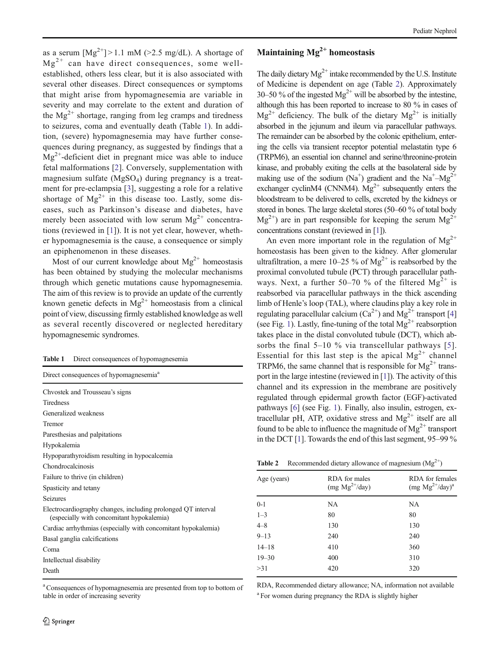as a serum  $[Mg^{2+}] > 1.1$  mM ( $>2.5$  mg/dL). A shortage of  $Mg^{2+}$  can have direct consequences, some wellestablished, others less clear, but it is also associated with several other diseases. Direct consequences or symptoms that might arise from hypomagnesemia are variable in severity and may correlate to the extent and duration of the  $Mg^{2+}$  shortage, ranging from leg cramps and tiredness to seizures, coma and eventually death (Table 1). In addition, (severe) hypomagnesemia may have further consequences during pregnancy, as suggested by findings that a  $Mg^{2+}$ -deficient diet in pregnant mice was able to induce fetal malformations [[2\]](#page-9-0). Conversely, supplementation with magnesium sulfate  $(MgSO<sub>4</sub>)$  during pregnancy is a treatment for pre-eclampsia [\[3](#page-9-0)], suggesting a role for a relative shortage of  $Mg^{2+}$  in this disease too. Lastly, some diseases, such as Parkinson's disease and diabetes, have merely been associated with low serum  $Mg^{2+}$  concentrations (reviewed in [[1\]](#page-9-0)). It is not yet clear, however, whether hypomagnesemia is the cause, a consequence or simply an epiphenomenon in these diseases.

Most of our current knowledge about  $Mg^{2+}$  homeostasis has been obtained by studying the molecular mechanisms through which genetic mutations cause hypomagnesemia. The aim of this review is to provide an update of the currently known genetic defects in  $Mg^{2+}$  homeostasis from a clinical point of view, discussing firmly established knowledge as well as several recently discovered or neglected hereditary hypomagnesemic syndromes.

Table 1 Direct consequences of hypomagnesemia

| Direct consequences of hypomagnesemia <sup>a</sup>                                                        |
|-----------------------------------------------------------------------------------------------------------|
| Chyostek and Trousseau's signs                                                                            |
| <b>Tiredness</b>                                                                                          |
| Generalized weakness                                                                                      |
| Tremor                                                                                                    |
| Paresthesias and palpitations                                                                             |
| Hypokalemia                                                                                               |
| Hypoparathyroidism resulting in hypocalcemia                                                              |
| Chondrocalcinosis                                                                                         |
| Failure to thrive (in children)                                                                           |
| Spasticity and tetany                                                                                     |
| Seizures                                                                                                  |
| Electrocardiography changes, including prolonged QT interval<br>(especially with concomitant hypokalemia) |
| Cardiac arrhythmias (especially with concomitant hypokalemia)                                             |
| Basal ganglia calcifications                                                                              |
| Coma                                                                                                      |
| Intellectual disability                                                                                   |
| Death                                                                                                     |

<sup>a</sup> Consequences of hypomagnesemia are presented from top to bottom of table in order of increasing severity

# Maintaining  $Mg^{2+}$  homeostasis

The daily dietary  $Mg^{2+}$  intake recommended by the U.S. Institute of Medicine is dependent on age (Table 2). Approximately 30–50 % of the ingested  $Mg^{2+}$  will be absorbed by the intestine, although this has been reported to increase to 80 % in cases of  $Mg^{2+}$  deficiency. The bulk of the dietary  $Mg^{2+}$  is initially absorbed in the jejunum and ileum via paracellular pathways. The remainder can be absorbed by the colonic epithelium, entering the cells via transient receptor potential melastatin type 6 (TRPM6), an essential ion channel and serine/threonine-protein kinase, and probably exiting the cells at the basolateral side by making use of the sodium (Na<sup>+</sup>) gradient and the Na<sup>+</sup>-Mg<sup>2+</sup> exchanger cyclinM4 (CNNM4).  $Mg^{2+}$  subsequently enters the bloodstream to be delivered to cells, excreted by the kidneys or stored in bones. The large skeletal stores (50–60 % of total body  $Mg^{2+}$ ) are in part responsible for keeping the serum  $Mg^{2+}$ concentrations constant (reviewed in [[1](#page-9-0)]).

An even more important role in the regulation of  $Mg^{2+}$ homeostasis has been given to the kidney. After glomerular ultrafiltration, a mere 10–25 % of  $Mg^{2+}$  is reabsorbed by the proximal convoluted tubule (PCT) through paracellular pathways. Next, a further 50–70 % of the filtered  $Mg^{2+}$  is reabsorbed via paracellular pathways in the thick ascending limb of Henle's loop (TAL), where claudins play a key role in regulating paracellular calcium ( $Ca^{2+}$ ) and Mg<sup>2+</sup> transport [\[4](#page-9-0)] (see Fig. [1\)](#page-2-0). Lastly, fine-tuning of the total  $Mg^{2+}$  reabsorption takes place in the distal convoluted tubule (DCT), which ab-sorbs the final [5](#page-9-0)–10 % via transcellular pathways [5]. Essential for this last step is the apical  $Mg^{2+}$  channel TRPM6, the same channel that is responsible for  $Mg^{2+}$  transport in the large intestine (reviewed in [\[1](#page-9-0)]). The activity of this channel and its expression in the membrane are positively regulated through epidermal growth factor (EGF)-activated pathways [\[6\]](#page-9-0) (see Fig. [1](#page-2-0)). Finally, also insulin, estrogen, extracellular pH, ATP, oxidative stress and  $Mg^{2+}$  itself are all found to be able to influence the magnitude of  $Mg^{2+}$  transport in the DCT [\[1](#page-9-0)]. Towards the end of this last segment, 95–99 %

| <b>Table 2</b> | Recommended dietary allowance of magnesium $(Mg^{2+})$ |  |  |  |  |
|----------------|--------------------------------------------------------|--|--|--|--|
|----------------|--------------------------------------------------------|--|--|--|--|

| Age (years) | <b>RDA</b> for males<br>$(mg\ Mg^{2+}/day)$ | RDA for females<br>$(mg\ Mg^{2+}/day)^a$ |
|-------------|---------------------------------------------|------------------------------------------|
| $0 - 1$     | NA                                          | NA                                       |
| $1 - 3$     | 80                                          | 80                                       |
| $4 - 8$     | 130                                         | 130                                      |
| $9 - 13$    | 240                                         | 240                                      |
| $14 - 18$   | 410                                         | 360                                      |
| $19 - 30$   | 400                                         | 310                                      |
| >31         | 420                                         | 320                                      |
|             |                                             |                                          |

RDA, Recommended dietary allowance; NA, information not available <sup>a</sup> For women during pregnancy the RDA is slightly higher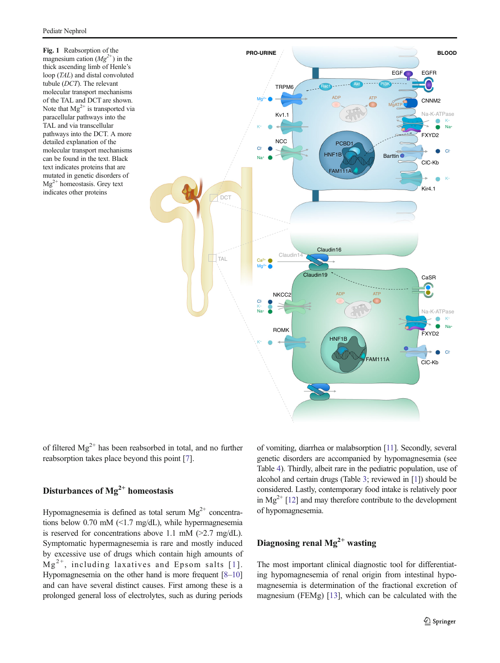<span id="page-2-0"></span>Fig. 1 Reabsorption of the magnesium cation  $(Mg^{2+})$  in the thick ascending limb of Henle's loop (TAL) and distal convoluted tubule (DCT). The relevant molecular transport mechanisms of the TAL and DCT are shown. Note that  $Mg^{2+}$  is transported via paracellular pathways into the TAL and via transcellular pathways into the DCT. A more detailed explanation of the molecular transport mechanisms can be found in the text. Black text indicates proteins that are mutated in genetic disorders of  $Mg^{2+}$  homeostasis. Grey text indicates other proteins



of filtered  $Mg^{2+}$  has been reabsorbed in total, and no further reabsorption takes place beyond this point [\[7\]](#page-9-0).

# Disturbances of  $Mg^{2+}$  homeostasis

Hypomagnesemia is defined as total serum  $Mg^{2+}$  concentrations below 0.70 mM (<1.7 mg/dL), while hypermagnesemia is reserved for concentrations above 1.1 mM  $(>2.7 \text{ mg/dL})$ . Symptomatic hypermagnesemia is rare and mostly induced by excessive use of drugs which contain high amounts of  $Mg^{2+}$ , including laxatives and Epsom salts [[1](#page-9-0)]. Hypomagnesemia on the other hand is more frequent [[8](#page-9-0)–[10\]](#page-9-0) and can have several distinct causes. First among these is a prolonged general loss of electrolytes, such as during periods of vomiting, diarrhea or malabsorption [\[11\]](#page-10-0). Secondly, several genetic disorders are accompanied by hypomagnesemia (see Table [4\)](#page-4-0). Thirdly, albeit rare in the pediatric population, use of alcohol and certain drugs (Table [3](#page-3-0); reviewed in [\[1\]](#page-9-0)) should be considered. Lastly, contemporary food intake is relatively poor in  $Mg^{2+}$  [\[12](#page-10-0)] and may therefore contribute to the development of hypomagnesemia.

# Diagnosing renal  $Mg^{2+}$  wasting

The most important clinical diagnostic tool for differentiating hypomagnesemia of renal origin from intestinal hypomagnesemia is determination of the fractional excretion of magnesium (FEMg) [[13](#page-10-0)], which can be calculated with the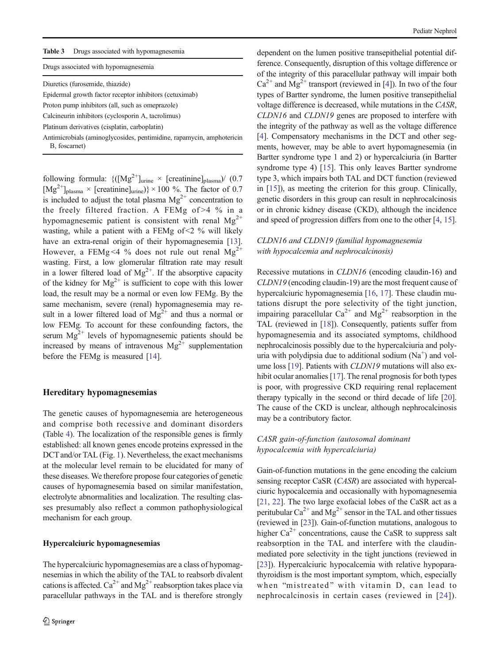<span id="page-3-0"></span>

| Table 3 | Drugs associated with hypomagnesemia                                  |
|---------|-----------------------------------------------------------------------|
|         | Drugs associated with hypomagnesemia                                  |
|         | Diuretics (furosemide, thiazide)                                      |
|         | Epidermal growth factor receptor inhibitors (cetuximab)               |
|         | Proton pump inhibitors (all, such as omeprazole)                      |
|         | Calcineurin inhibitors (cyclosporin A, tacrolimus)                    |
|         | Platinum derivatives (cisplatin, carboplatin)                         |
|         | Antimicrobials (aminoglycosides, pentimidine, rapamycin, amphotericin |

B, foscarnet

following formula:  $\{([\text{Mg}^{2+}]_{\text{urine}} \times [\text{creatinine}]_{\text{plasma}})/$  (0.7)  $[Mg^{2+}]_{\text{plasma}} \times \text{[creationine]}_{\text{urine}}) \times 100 \%$ . The factor of 0.7 is included to adjust the total plasma  $Mg^{2+}$  concentration to the freely filtered fraction. A FEMg of >4 % in a hypomagnesemic patient is consistent with renal  $Mg^{2+}$ wasting, while a patient with a FEMg of  $\leq$  2 % will likely have an extra-renal origin of their hypomagnesemia [[13](#page-10-0)]. However, a FEMg <4 % does not rule out renal  $Mg^{2+}$ wasting. First, a low glomerular filtration rate may result in a lower filtered load of  $Mg^{2+}$ . If the absorptive capacity of the kidney for  $Mg^{2+}$  is sufficient to cope with this lower load, the result may be a normal or even low FEMg. By the same mechanism, severe (renal) hypomagnesemia may result in a lower filtered load of  $Mg^{2+}$  and thus a normal or low FEMg. To account for these confounding factors, the serum  $Mg^{2+}$  levels of hypomagnesemic patients should be increased by means of intravenous  $Mg^{2+}$  supplementation before the FEMg is measured [\[14](#page-10-0)].

### Hereditary hypomagnesemias

The genetic causes of hypomagnesemia are heterogeneous and comprise both recessive and dominant disorders (Table [4](#page-4-0)). The localization of the responsible genes is firmly established: all known genes encode proteins expressed in the DCT and/or TAL (Fig. [1\)](#page-2-0). Nevertheless, the exact mechanisms at the molecular level remain to be elucidated for many of these diseases. We therefore propose four categories of genetic causes of hypomagnesemia based on similar manifestation, electrolyte abnormalities and localization. The resulting classes presumably also reflect a common pathophysiological mechanism for each group.

### Hypercalciuric hypomagnesemias

The hypercalciuric hypomagnesemias are a class of hypomagnesemias in which the ability of the TAL to reabsorb divalent cations is affected.  $Ca^{2+}$  and  $Mg^{2+}$  reabsorption takes place via paracellular pathways in the TAL and is therefore strongly dependent on the lumen positive transepithelial potential difference. Consequently, disruption of this voltage difference or of the integrity of this paracellular pathway will impair both  $Ca^{2+}$  and Mg<sup>2+</sup> transport (reviewed in [\[4](#page-9-0)]). In two of the four types of Bartter syndrome, the lumen positive transepithelial voltage difference is decreased, while mutations in the CASR, CLDN16 and CLDN19 genes are proposed to interfere with the integrity of the pathway as well as the voltage difference [\[4](#page-9-0)]. Compensatory mechanisms in the DCT and other segments, however, may be able to avert hypomagnesemia (in Bartter syndrome type 1 and 2) or hypercalciuria (in Bartter syndrome type 4) [[15](#page-10-0)]. This only leaves Bartter syndrome type 3, which impairs both TAL and DCT function (reviewed in [[15\]](#page-10-0)), as meeting the criterion for this group. Clinically, genetic disorders in this group can result in nephrocalcinosis or in chronic kidney disease (CKD), although the incidence and speed of progression differs from one to the other [\[4](#page-9-0), [15\]](#page-10-0).

# CLDN16 and CLDN19 (familial hypomagnesemia with hypocalcemia and nephrocalcinosis)

Recessive mutations in CLDN16 (encoding claudin-16) and CLDN19 (encoding claudin-19) are the most frequent cause of hypercalciuric hypomagnesemia [\[16,](#page-10-0) [17\]](#page-10-0). These claudin mutations disrupt the pore selectivity of the tight junction, impairing paracellular  $Ca^{2+}$  and  $Mg^{2+}$  reabsorption in the TAL (reviewed in [[18](#page-10-0)]). Consequently, patients suffer from hypomagnesemia and its associated symptoms, childhood nephrocalcinosis possibly due to the hypercalciuria and polyuria with polydipsia due to additional sodium  $(Na^{+})$  and vol-ume loss [\[19](#page-10-0)]. Patients with *CLDN19* mutations will also ex-hibit ocular anomalies [\[17\]](#page-10-0). The renal prognosis for both types is poor, with progressive CKD requiring renal replacement therapy typically in the second or third decade of life [[20\]](#page-10-0). The cause of the CKD is unclear, although nephrocalcinosis may be a contributory factor.

# CASR gain-of-function (autosomal dominant hypocalcemia with hypercalciuria)

Gain-of-function mutations in the gene encoding the calcium sensing receptor CaSR (CASR) are associated with hypercalciuric hypocalcemia and occasionally with hypomagnesemia [\[21](#page-10-0), [22](#page-10-0)]. The two large exofacial lobes of the CaSR act as a peritubular  $Ca^{2+}$  and  $Mg^{2+}$  sensor in the TAL and other tissues (reviewed in [\[23\]](#page-10-0)). Gain-of-function mutations, analogous to higher  $Ca^{2+}$  concentrations, cause the CaSR to suppress salt reabsorption in the TAL and interfere with the claudinmediated pore selectivity in the tight junctions (reviewed in [\[23](#page-10-0)]). Hypercalciuric hypocalcemia with relative hypoparathyroidism is the most important symptom, which, especially when "mistreated" with vitamin D, can lead to nephrocalcinosis in certain cases (reviewed in [[24](#page-10-0)]).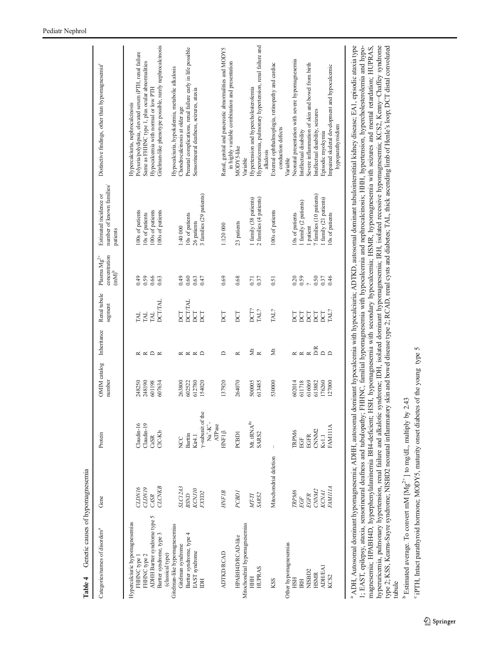<span id="page-4-0"></span>

| 100s of patients<br>100s of patients<br>100s of patients<br>100s of patients<br>10s of patients<br>10s of patients<br>26 patients<br>23 patients<br>1:120 000<br>1:40 000<br>patients<br>concentration<br>Plasma ${Mg}^{2+}$<br>$\left( \text{mM} \right)^{\text{b}}$<br>0.49<br>0.59<br>0.66<br>64.0<br>0.69<br>0.68<br>0.37<br>0.63<br>0.60<br>0.63<br>0.47<br>0.71<br>0.51<br>Renal tubule<br><b>DCT/TAL</b><br><b>DCT/TAL</b><br>segment<br>DCT?<br>TAL?<br>TAL?<br><b>DCT</b><br>DCT<br>TAL.<br><b>DCT</b><br>ECT<br>ECT<br><b>INI</b><br><b>TAL</b><br>Inheritance<br>Žκ<br>Ž<br>$\approx$ $\approx$ $\approx$<br>$\Box$<br>≏<br>$\approx$<br>$\propto$ $\propto$ $\propto$<br>≃<br>OMIM catalog<br>number<br>264070<br>248250<br>248190<br>601198<br>607634<br>602522<br>612780<br>154020<br>137920<br>500005<br>613485<br>530000<br>263800<br>y-subunit of the<br>Mt. tRNA $^{\mbox{\scriptsize \text{ile}}}$<br>$Na^+K^-$<br>Claudin-16<br>Claudin-19<br>ATPase<br><b>HNF1ß</b><br>$C1C-Kb$<br>PCBD <sub>1</sub><br>SARS2<br>Protein<br>Barttin<br>Kir4.1<br>CaSR<br>NCC<br>Mitochondrial deletion<br><b>CLCNKB</b><br><b>SLC12A3</b><br>CLDN16<br>CLDN19<br>KCNJ10<br>HNFIB<br>FXYD <sub>2</sub><br>PCBD1<br><b>BSND</b><br>SARS2<br>CASR<br>MT-TI<br>Gene<br>ADHH Bartter syndrome type 5<br>Hypercalciuric hypomagnesemias<br>Mitochondrial hypomagnesemias<br>Gitelman-like hypomagnesemias<br>Categories/names of disorders <sup>a</sup><br>Bartter syndrome, type 3<br>Bartter syndrome, type 4<br>HPABH4D/RCAD-like<br>Other hypomagnesemias<br>Gitelman syndrome<br>EAST syndrome<br><b>ADTKDRCAD</b><br>(classical type)<br>FHHNC type 2<br>FHHNC type 1<br><b>HUPRAS</b><br>HHH<br>KSS<br>EE |  | number of known families/<br>Estimated incidence or | Polyuria/polydipsia, elevated serum iPTH, renal failure<br>Same as FHHNC type 1, plus ocular abnormalities<br>Distinctive findings, other than hypomagnesemia <sup>c</sup><br>Hypocalcemia with normal or low PTH<br>Hypercalciuria, nephrocalcinosis |
|-----------------------------------------------------------------------------------------------------------------------------------------------------------------------------------------------------------------------------------------------------------------------------------------------------------------------------------------------------------------------------------------------------------------------------------------------------------------------------------------------------------------------------------------------------------------------------------------------------------------------------------------------------------------------------------------------------------------------------------------------------------------------------------------------------------------------------------------------------------------------------------------------------------------------------------------------------------------------------------------------------------------------------------------------------------------------------------------------------------------------------------------------------------------------------------------------------------------------------------------------------------------------------------------------------------------------------------------------------------------------------------------------------------------------------------------------------------------------------------------------------------------------------------------------------------------------------------------------------------------------------------------------------------------------------------------------------------------|--|-----------------------------------------------------|-------------------------------------------------------------------------------------------------------------------------------------------------------------------------------------------------------------------------------------------------------|
|                                                                                                                                                                                                                                                                                                                                                                                                                                                                                                                                                                                                                                                                                                                                                                                                                                                                                                                                                                                                                                                                                                                                                                                                                                                                                                                                                                                                                                                                                                                                                                                                                                                                                                                 |  |                                                     |                                                                                                                                                                                                                                                       |
|                                                                                                                                                                                                                                                                                                                                                                                                                                                                                                                                                                                                                                                                                                                                                                                                                                                                                                                                                                                                                                                                                                                                                                                                                                                                                                                                                                                                                                                                                                                                                                                                                                                                                                                 |  |                                                     |                                                                                                                                                                                                                                                       |
|                                                                                                                                                                                                                                                                                                                                                                                                                                                                                                                                                                                                                                                                                                                                                                                                                                                                                                                                                                                                                                                                                                                                                                                                                                                                                                                                                                                                                                                                                                                                                                                                                                                                                                                 |  |                                                     |                                                                                                                                                                                                                                                       |
|                                                                                                                                                                                                                                                                                                                                                                                                                                                                                                                                                                                                                                                                                                                                                                                                                                                                                                                                                                                                                                                                                                                                                                                                                                                                                                                                                                                                                                                                                                                                                                                                                                                                                                                 |  |                                                     |                                                                                                                                                                                                                                                       |
|                                                                                                                                                                                                                                                                                                                                                                                                                                                                                                                                                                                                                                                                                                                                                                                                                                                                                                                                                                                                                                                                                                                                                                                                                                                                                                                                                                                                                                                                                                                                                                                                                                                                                                                 |  |                                                     |                                                                                                                                                                                                                                                       |
|                                                                                                                                                                                                                                                                                                                                                                                                                                                                                                                                                                                                                                                                                                                                                                                                                                                                                                                                                                                                                                                                                                                                                                                                                                                                                                                                                                                                                                                                                                                                                                                                                                                                                                                 |  |                                                     | Gitelman-like phenotype possible, rarely nephrocalcinosis                                                                                                                                                                                             |
|                                                                                                                                                                                                                                                                                                                                                                                                                                                                                                                                                                                                                                                                                                                                                                                                                                                                                                                                                                                                                                                                                                                                                                                                                                                                                                                                                                                                                                                                                                                                                                                                                                                                                                                 |  |                                                     | Hypocalciuria, hypokalemia, metabolic alkalosis                                                                                                                                                                                                       |
|                                                                                                                                                                                                                                                                                                                                                                                                                                                                                                                                                                                                                                                                                                                                                                                                                                                                                                                                                                                                                                                                                                                                                                                                                                                                                                                                                                                                                                                                                                                                                                                                                                                                                                                 |  |                                                     | Chondrocalcinosis at older age                                                                                                                                                                                                                        |
|                                                                                                                                                                                                                                                                                                                                                                                                                                                                                                                                                                                                                                                                                                                                                                                                                                                                                                                                                                                                                                                                                                                                                                                                                                                                                                                                                                                                                                                                                                                                                                                                                                                                                                                 |  |                                                     | Prenatal complications, renal failure early in life possible                                                                                                                                                                                          |
|                                                                                                                                                                                                                                                                                                                                                                                                                                                                                                                                                                                                                                                                                                                                                                                                                                                                                                                                                                                                                                                                                                                                                                                                                                                                                                                                                                                                                                                                                                                                                                                                                                                                                                                 |  |                                                     | Sensorineural deafness, seizures, ataxia                                                                                                                                                                                                              |
|                                                                                                                                                                                                                                                                                                                                                                                                                                                                                                                                                                                                                                                                                                                                                                                                                                                                                                                                                                                                                                                                                                                                                                                                                                                                                                                                                                                                                                                                                                                                                                                                                                                                                                                 |  | 3 families (29 patients)                            |                                                                                                                                                                                                                                                       |
|                                                                                                                                                                                                                                                                                                                                                                                                                                                                                                                                                                                                                                                                                                                                                                                                                                                                                                                                                                                                                                                                                                                                                                                                                                                                                                                                                                                                                                                                                                                                                                                                                                                                                                                 |  |                                                     |                                                                                                                                                                                                                                                       |
|                                                                                                                                                                                                                                                                                                                                                                                                                                                                                                                                                                                                                                                                                                                                                                                                                                                                                                                                                                                                                                                                                                                                                                                                                                                                                                                                                                                                                                                                                                                                                                                                                                                                                                                 |  |                                                     | Renal, genital and pancreatic abnormalities and MODY5                                                                                                                                                                                                 |
|                                                                                                                                                                                                                                                                                                                                                                                                                                                                                                                                                                                                                                                                                                                                                                                                                                                                                                                                                                                                                                                                                                                                                                                                                                                                                                                                                                                                                                                                                                                                                                                                                                                                                                                 |  |                                                     | in highly variable combination and presentation                                                                                                                                                                                                       |
|                                                                                                                                                                                                                                                                                                                                                                                                                                                                                                                                                                                                                                                                                                                                                                                                                                                                                                                                                                                                                                                                                                                                                                                                                                                                                                                                                                                                                                                                                                                                                                                                                                                                                                                 |  |                                                     | MODY5-like<br>Variable                                                                                                                                                                                                                                |
|                                                                                                                                                                                                                                                                                                                                                                                                                                                                                                                                                                                                                                                                                                                                                                                                                                                                                                                                                                                                                                                                                                                                                                                                                                                                                                                                                                                                                                                                                                                                                                                                                                                                                                                 |  | 1 family (38 patients)                              | Hypertension and hypercholesterolemia                                                                                                                                                                                                                 |
|                                                                                                                                                                                                                                                                                                                                                                                                                                                                                                                                                                                                                                                                                                                                                                                                                                                                                                                                                                                                                                                                                                                                                                                                                                                                                                                                                                                                                                                                                                                                                                                                                                                                                                                 |  | 2 families (4 patients)                             | Hyperuricemia, pulmonary hypertension, renal failure and<br>alkalosis                                                                                                                                                                                 |
|                                                                                                                                                                                                                                                                                                                                                                                                                                                                                                                                                                                                                                                                                                                                                                                                                                                                                                                                                                                                                                                                                                                                                                                                                                                                                                                                                                                                                                                                                                                                                                                                                                                                                                                 |  |                                                     | External ophthalmoplegia, retinopathy and cardiac<br>conduction defects                                                                                                                                                                               |
|                                                                                                                                                                                                                                                                                                                                                                                                                                                                                                                                                                                                                                                                                                                                                                                                                                                                                                                                                                                                                                                                                                                                                                                                                                                                                                                                                                                                                                                                                                                                                                                                                                                                                                                 |  |                                                     | Variable                                                                                                                                                                                                                                              |
| 10s of patients<br>0.20<br><b>DCT</b><br>602014<br>TRPM6<br>TRPM6<br><b>HSH</b>                                                                                                                                                                                                                                                                                                                                                                                                                                                                                                                                                                                                                                                                                                                                                                                                                                                                                                                                                                                                                                                                                                                                                                                                                                                                                                                                                                                                                                                                                                                                                                                                                                 |  |                                                     | Neonatal presentation with severe hypomagnesemia                                                                                                                                                                                                      |
| 0.59<br>DCT<br>611718<br>EGF<br>EGF<br><b>IRH</b>                                                                                                                                                                                                                                                                                                                                                                                                                                                                                                                                                                                                                                                                                                                                                                                                                                                                                                                                                                                                                                                                                                                                                                                                                                                                                                                                                                                                                                                                                                                                                                                                                                                               |  | 1 family (2 patients)                               | Intellectual disability                                                                                                                                                                                                                               |
| I patient<br>$\sim$<br>DCT<br>616069<br><b>EGFR</b><br><b>EGFR</b><br>NISBD2                                                                                                                                                                                                                                                                                                                                                                                                                                                                                                                                                                                                                                                                                                                                                                                                                                                                                                                                                                                                                                                                                                                                                                                                                                                                                                                                                                                                                                                                                                                                                                                                                                    |  |                                                     | Severe inflammation of skin and bowel from birth                                                                                                                                                                                                      |
| 0.50<br>DCT<br>613882<br>CNNM2<br>CNNM2<br><b>HSMR</b>                                                                                                                                                                                                                                                                                                                                                                                                                                                                                                                                                                                                                                                                                                                                                                                                                                                                                                                                                                                                                                                                                                                                                                                                                                                                                                                                                                                                                                                                                                                                                                                                                                                          |  | 7 families (10 patients)                            | Intellectual disability, seizures                                                                                                                                                                                                                     |
| 0.37<br>DCT<br><b><i><b>RREDO</b></i></b><br>176260<br>Kv1.1<br><b>KCNAI</b><br><b>ADH/EA1</b>                                                                                                                                                                                                                                                                                                                                                                                                                                                                                                                                                                                                                                                                                                                                                                                                                                                                                                                                                                                                                                                                                                                                                                                                                                                                                                                                                                                                                                                                                                                                                                                                                  |  | family (21 patients)                                | Episodic myokymia                                                                                                                                                                                                                                     |
| 10s of patients<br>0.46<br>TAL?<br>127000<br><b>AM111A</b><br><b>FINITIA</b><br>KCS2                                                                                                                                                                                                                                                                                                                                                                                                                                                                                                                                                                                                                                                                                                                                                                                                                                                                                                                                                                                                                                                                                                                                                                                                                                                                                                                                                                                                                                                                                                                                                                                                                            |  |                                                     | Impaired skeletal development and hypocalcemic                                                                                                                                                                                                        |
|                                                                                                                                                                                                                                                                                                                                                                                                                                                                                                                                                                                                                                                                                                                                                                                                                                                                                                                                                                                                                                                                                                                                                                                                                                                                                                                                                                                                                                                                                                                                                                                                                                                                                                                 |  |                                                     | hypoparathyroidism                                                                                                                                                                                                                                    |

magnesemia; HPABH4D, hyperphenylalaninemia BH4-deficient; HSH, hypomagnesemia with secondary hypocalcemia; HSMR, hypomagnesemia with seizures and mental retardation; HUPRAS,<br>hyperuricemia, pulmonary hypertension, renal fai 1; EAST, epilepsy, ataxia, sensorineural deafness and tubulopathy; FHHNC, familial hypomagnesemia with hypocalcemia and nephrocalcinosis; HHH, hypertension, hypercholesterolemia and hypo-ADH, Autosomal dominant hypomagnesemia; ADHH, autosomal dominant hypocalcemia with hypocalciuria; ADTKD, autosomal dominant tubulointerstitial kidney disease; EA1, episodic ataxia type ADH, Autosomal dominant hypomagnesemia; ADHH, autosomal dominant hypocalcemia with hypocalciuria; ADTKD, autosomal dominant tubulointerstitial kidney disease; EA1, episodic ataxia type 1; EAST, epilepsy, ataxia, sensorineural deafness and tubulopathy; FHHNC, familial hypomagnesemia with hypocalcemia and nephrocalcinosis; HHH, hypertension, hypercholesterolemia and hypomagnesemia; HPABH4D, hyperphenylalaninemia BH4-deficient; HSH, hypomagnesemia with secondary hypocalcemia; HSMR, hypomagnesemia with seizures and mental retardation; HUPRAS, hyperuricemia, pulmonary hypertension, renal failure and alkalotic syndrome; IDH, isolated dominant hypomagnesemia; IRH, isolated recessive hypomagnesemia; KCS2, Kenny−Chaffey syndrome type 2; KSS, Kearns-Sayre syndrome; NISBD2 neonatal inflammatory skin and bowel disease type 2; RCAD, renal cysts and diabetes; TAL, thick ascending limb of Henle's loop; DCT distal convoluted

<sup>b</sup> Estimated average. To convert mM [Mg<sup>2+</sup>] to mg/dL, multiply by 2.43 <sup>b</sup> Estimated average. To convert mM [Mg<sup>2+</sup>] to mg/dL, multiply by 2.43

<sup>c</sup> iPTH, Intact parathyroid hormone; MODY5, maturity onset diabetes of the young type 5 iPTH, Intact parathyroid hormone; MODY5, maturity onset diabetes of the young type 5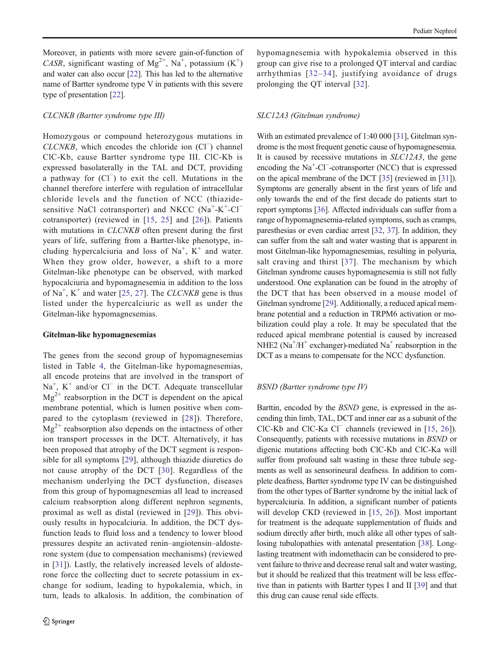Moreover, in patients with more severe gain-of-function of CASR, significant wasting of  $Mg^{2+}$ , Na<sup>+</sup>, potassium (K<sup>+</sup>) and water can also occur [[22](#page-10-0)]. This has led to the alternative name of Bartter syndrome type V in patients with this severe type of presentation [[22\]](#page-10-0).

### CLCNKB (Bartter syndrome type III)

Homozygous or compound heterozygous mutations in CLCNKB, which encodes the chloride ion (Cl<sup>−</sup>) channel ClC-Kb, cause Bartter syndrome type III. ClC-Kb is expressed basolaterally in the TAL and DCT, providing a pathway for (Cl<sup>−</sup> ) to exit the cell. Mutations in the channel therefore interfere with regulation of intracellular chloride levels and the function of NCC (thiazidesensitive NaCl cotransporter) and NKCC  $(Na^+ - K^+ - Cl^-)$ cotransporter) (reviewed in [\[15](#page-10-0), [25](#page-10-0)] and [[26\]](#page-10-0)). Patients with mutations in CLCNKB often present during the first years of life, suffering from a Bartter-like phenotype, including hypercalciuria and loss of  $Na^+$ ,  $K^+$  and water. When they grow older, however, a shift to a more Gitelman-like phenotype can be observed, with marked hypocalciuria and hypomagnesemia in addition to the loss of  $Na<sup>+</sup>$ , K<sup>+</sup> and water [[25](#page-10-0), [27\]](#page-10-0). The CLCNKB gene is thus listed under the hypercalciuric as well as under the Gitelman-like hypomagnesemias.

### Gitelman-like hypomagnesemias

The genes from the second group of hypomagnesemias listed in Table [4,](#page-4-0) the Gitelman-like hypomagnesemias, all encode proteins that are involved in the transport of Na<sup>+</sup>, K<sup>+</sup> and/or Cl<sup>−</sup> in the DCT. Adequate transcellular  $Mg^{2+}$  reabsorption in the DCT is dependent on the apical membrane potential, which is lumen positive when compared to the cytoplasm (reviewed in [\[28\]](#page-10-0)). Therefore,  $Mg^{2+}$  reabsorption also depends on the intactness of other ion transport processes in the DCT. Alternatively, it has been proposed that atrophy of the DCT segment is responsible for all symptoms [[29\]](#page-10-0), although thiazide diuretics do not cause atrophy of the DCT [[30\]](#page-10-0). Regardless of the mechanism underlying the DCT dysfunction, diseases from this group of hypomagnesemias all lead to increased calcium reabsorption along different nephron segments, proximal as well as distal (reviewed in [[29\]](#page-10-0)). This obviously results in hypocalciuria. In addition, the DCT dysfunction leads to fluid loss and a tendency to lower blood pressures despite an activated renin–angiotensin–aldosterone system (due to compensation mechanisms) (reviewed in [[31\]](#page-10-0)). Lastly, the relatively increased levels of aldosterone force the collecting duct to secrete potassium in exchange for sodium, leading to hypokalemia, which, in turn, leads to alkalosis. In addition, the combination of hypomagnesemia with hypokalemia observed in this group can give rise to a prolonged QT interval and cardiac arrhythmias [[32](#page-10-0)–[34\]](#page-10-0), justifying avoidance of drugs prolonging the QT interval [\[32](#page-10-0)].

### SLC12A3 (Gitelman syndrome)

With an estimated prevalence of 1:40 000 [[31\]](#page-10-0), Gitelman syndrome is the most frequent genetic cause of hypomagnesemia. It is caused by recessive mutations in SLC12A3, the gene encoding the Na<sup>+</sup>-Cl<sup>−</sup>-cotransporter (NCC) that is expressed on the apical membrane of the DCT [[35\]](#page-10-0) (reviewed in [[31\]](#page-10-0)). Symptoms are generally absent in the first years of life and only towards the end of the first decade do patients start to report symptoms [[36](#page-10-0)]. Affected individuals can suffer from a range of hypomagnesemia-related symptoms, such as cramps, paresthesias or even cardiac arrest [[32,](#page-10-0) [37\]](#page-10-0). In addition, they can suffer from the salt and water wasting that is apparent in most Gitelman-like hypomagnesemias, resulting in polyuria, salt craving and thirst [\[37\]](#page-10-0). The mechanism by which Gitelman syndrome causes hypomagnesemia is still not fully understood. One explanation can be found in the atrophy of the DCT that has been observed in a mouse model of Gitelman syndrome [[29](#page-10-0)]. Additionally, a reduced apical membrane potential and a reduction in TRPM6 activation or mobilization could play a role. It may be speculated that the reduced apical membrane potential is caused by increased NHE2 ( $Na<sup>+</sup>/H<sup>+</sup>$  exchanger)-mediated  $Na<sup>+</sup>$  reabsorption in the DCT as a means to compensate for the NCC dysfunction.

#### BSND (Bartter syndrome type IV)

Barttin, encoded by the BSND gene, is expressed in the ascending thin limb, TAL, DCT and inner ear as a subunit of the ClC-Kb and ClC-Ka Cl<sup>−</sup> channels (reviewed in [[15,](#page-10-0) [26](#page-10-0)]). Consequently, patients with recessive mutations in BSND or digenic mutations affecting both ClC-Kb and ClC-Ka will suffer from profound salt wasting in these three tubule segments as well as sensorineural deafness. In addition to complete deafness, Bartter syndrome type IV can be distinguished from the other types of Bartter syndrome by the initial lack of hypercalciuria. In addition, a significant number of patients will develop CKD (reviewed in [[15,](#page-10-0) [26](#page-10-0)]). Most important for treatment is the adequate supplementation of fluids and sodium directly after birth, much alike all other types of saltlosing tubulopathies with antenatal presentation [[38](#page-10-0)]. Longlasting treatment with indomethacin can be considered to prevent failure to thrive and decrease renal salt and water wasting, but it should be realized that this treatment will be less effective than in patients with Bartter types I and II [[39](#page-10-0)] and that this drug can cause renal side effects.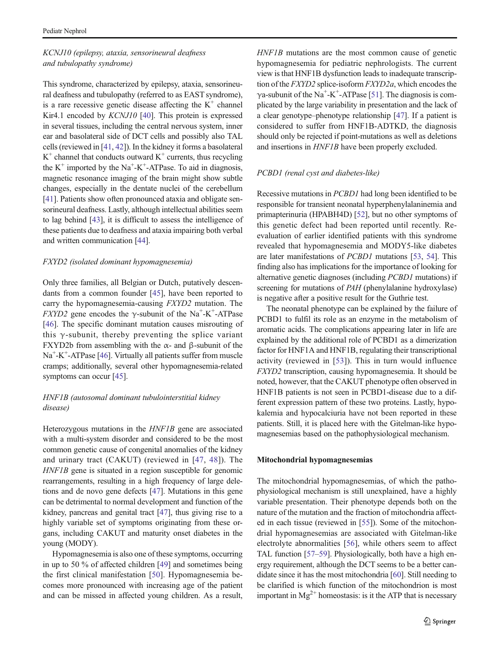## KCNJ10 (epilepsy, ataxia, sensorineural deafness and tubulopathy syndrome)

This syndrome, characterized by epilepsy, ataxia, sensorineural deafness and tubulopathy (referred to as EAST syndrome), is a rare recessive genetic disease affecting the  $K^+$  channel Kir4.1 encoded by *KCNJ10* [\[40\]](#page-10-0). This protein is expressed in several tissues, including the central nervous system, inner ear and basolateral side of DCT cells and possibly also TAL cells (reviewed in [\[41](#page-10-0), [42](#page-10-0)]). In the kidney it forms a basolateral  $K^+$  channel that conducts outward  $K^+$  currents, thus recycling the  $K^+$  imported by the Na<sup>+</sup>-K<sup>+</sup>-ATPase. To aid in diagnosis, magnetic resonance imaging of the brain might show subtle changes, especially in the dentate nuclei of the cerebellum [\[41\]](#page-10-0). Patients show often pronounced ataxia and obligate sensorineural deafness. Lastly, although intellectual abilities seem to lag behind [[43\]](#page-10-0), it is difficult to assess the intelligence of these patients due to deafness and ataxia impairing both verbal and written communication [[44](#page-11-0)].

### FXYD2 (isolated dominant hypomagnesemia)

Only three families, all Belgian or Dutch, putatively descendants from a common founder [[45](#page-11-0)], have been reported to carry the hypomagnesemia-causing FXYD2 mutation. The FXYD2 gene encodes the  $\gamma$ -subunit of the Na<sup>+</sup>-K<sup>+</sup>-ATPase [\[46](#page-11-0)]. The specific dominant mutation causes misrouting of this  $\gamma$ -subunit, thereby preventing the splice variant FXYD2b from assembling with the α- and β-subunit of the Na<sup>+</sup>-K<sup>+</sup>-ATPase [[46\]](#page-11-0). Virtually all patients suffer from muscle cramps; additionally, several other hypomagnesemia-related symptoms can occur [\[45\]](#page-11-0).

# HNF1B (autosomal dominant tubulointerstitial kidney disease)

Heterozygous mutations in the HNF1B gene are associated with a multi-system disorder and considered to be the most common genetic cause of congenital anomalies of the kidney and urinary tract (CAKUT) (reviewed in [\[47,](#page-11-0) [48\]](#page-11-0)). The HNF1B gene is situated in a region susceptible for genomic rearrangements, resulting in a high frequency of large deletions and de novo gene defects [\[47](#page-11-0)]. Mutations in this gene can be detrimental to normal development and function of the kidney, pancreas and genital tract [\[47\]](#page-11-0), thus giving rise to a highly variable set of symptoms originating from these organs, including CAKUT and maturity onset diabetes in the young (MODY).

Hypomagnesemia is also one of these symptoms, occurring in up to 50 % of affected children [\[49](#page-11-0)] and sometimes being the first clinical manifestation [[50\]](#page-11-0). Hypomagnesemia becomes more pronounced with increasing age of the patient and can be missed in affected young children. As a result, HNF1B mutations are the most common cause of genetic hypomagnesemia for pediatric nephrologists. The current view is that HNF1B dysfunction leads to inadequate transcription of the FXYD2 splice-isoform FXYD2a, which encodes the  $\gamma$ a-subunit of the Na<sup>+</sup>-K<sup>+</sup>-ATPase [\[51](#page-11-0)]. The diagnosis is complicated by the large variability in presentation and the lack of a clear genotype–phenotype relationship [\[47\]](#page-11-0). If a patient is considered to suffer from HNF1B-ADTKD, the diagnosis should only be rejected if point-mutations as well as deletions and insertions in HNF1B have been properly excluded.

### PCBD1 (renal cyst and diabetes-like)

Recessive mutations in PCBD1 had long been identified to be responsible for transient neonatal hyperphenylalaninemia and primapterinuria (HPABH4D) [\[52\]](#page-11-0), but no other symptoms of this genetic defect had been reported until recently. Reevaluation of earlier identified patients with this syndrome revealed that hypomagnesemia and MODY5-like diabetes are later manifestations of PCBD1 mutations [\[53,](#page-11-0) [54\]](#page-11-0). This finding also has implications for the importance of looking for alternative genetic diagnoses (including PCBD1 mutations) if screening for mutations of *PAH* (phenylalanine hydroxylase) is negative after a positive result for the Guthrie test.

The neonatal phenotype can be explained by the failure of PCBD1 to fulfil its role as an enzyme in the metabolism of aromatic acids. The complications appearing later in life are explained by the additional role of PCBD1 as a dimerization factor for HNF1A and HNF1B, regulating their transcriptional activity (reviewed in [[53](#page-11-0)]). This in turn would influence FXYD2 transcription, causing hypomagnesemia. It should be noted, however, that the CAKUT phenotype often observed in HNF1B patients is not seen in PCBD1-disease due to a different expression pattern of these two proteins. Lastly, hypokalemia and hypocalciuria have not been reported in these patients. Still, it is placed here with the Gitelman-like hypomagnesemias based on the pathophysiological mechanism.

### Mitochondrial hypomagnesemias

The mitochondrial hypomagnesemias, of which the pathophysiological mechanism is still unexplained, have a highly variable presentation. Their phenotype depends both on the nature of the mutation and the fraction of mitochondria affected in each tissue (reviewed in [\[55\]](#page-11-0)). Some of the mitochondrial hypomagnesemias are associated with Gitelman-like electrolyte abnormalities [[56\]](#page-11-0), while others seem to affect TAL function [\[57](#page-11-0)–[59\]](#page-11-0). Physiologically, both have a high energy requirement, although the DCT seems to be a better candidate since it has the most mitochondria [\[60\]](#page-11-0). Still needing to be clarified is which function of the mitochondrion is most important in  $Mg^{2+}$  homeostasis: is it the ATP that is necessary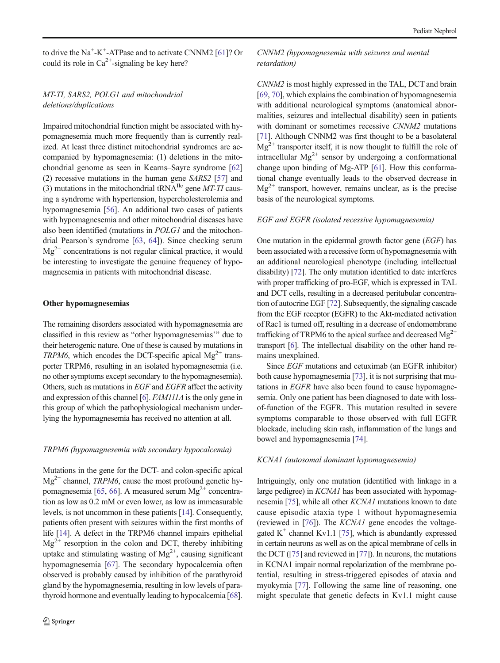to drive the  $Na^+$ -K<sup>+</sup>-ATPase and to activate CNNM2 [\[61](#page-11-0)]? Or could its role in  $Ca^{2+}$ -signaling be key here?

# MT-TI, SARS2, POLG1 and mitochondrial deletions/duplications

Impaired mitochondrial function might be associated with hypomagnesemia much more frequently than is currently realized. At least three distinct mitochondrial syndromes are accompanied by hypomagnesemia: (1) deletions in the mitochondrial genome as seen in Kearns–Sayre syndrome [\[62\]](#page-11-0) (2) recessive mutations in the human gene SARS2 [\[57](#page-11-0)] and (3) mutations in the mitochondrial tRNA<sup>Ile</sup> gene *MT-TI* causing a syndrome with hypertension, hypercholesterolemia and hypomagnesemia [[56](#page-11-0)]. An additional two cases of patients with hypomagnesemia and other mitochondrial diseases have also been identified (mutations in POLG1 and the mitochondrial Pearson's syndrome [[63,](#page-11-0) [64\]](#page-11-0)). Since checking serum  $Mg^{2+}$  concentrations is not regular clinical practice, it would be interesting to investigate the genuine frequency of hypomagnesemia in patients with mitochondrial disease.

#### Other hypomagnesemias

The remaining disorders associated with hypomagnesemia are classified in this review as "other hypomagnesemias" due to their heterogenic nature. One of these is caused by mutations in TRPM6, which encodes the DCT-specific apical  $Mg^{2+}$  transporter TRPM6, resulting in an isolated hypomagnesemia (i.e. no other symptoms except secondary to the hypomagnesemia). Others, such as mutations in EGF and EGFR affect the activity and expression of this channel [\[6](#page-9-0)]. FAM111A is the only gene in this group of which the pathophysiological mechanism underlying the hypomagnesemia has received no attention at all.

#### TRPM6 (hypomagnesemia with secondary hypocalcemia)

Mutations in the gene for the DCT- and colon-specific apical  $Mg^{2+}$  channel, *TRPM6*, cause the most profound genetic hy-pomagnesemia [\[65,](#page-11-0) [66\]](#page-11-0). A measured serum  $Mg^{2+}$  concentration as low as 0.2 mM or even lower, as low as immeasurable levels, is not uncommon in these patients [\[14\]](#page-10-0). Consequently, patients often present with seizures within the first months of life [\[14\]](#page-10-0). A defect in the TRPM6 channel impairs epithelial  $Mg^{2+}$  resorption in the colon and DCT, thereby inhibiting uptake and stimulating wasting of  $Mg^{2+}$ , causing significant hypomagnesemia [\[67](#page-11-0)]. The secondary hypocalcemia often observed is probably caused by inhibition of the parathyroid gland by the hypomagnesemia, resulting in low levels of parathyroid hormone and eventually leading to hypocalcemia [[68\]](#page-11-0).

## CNNM2 (hypomagnesemia with seizures and mental retardation)

CNNM2 is most highly expressed in the TAL, DCT and brain [\[69](#page-11-0), [70](#page-11-0)], which explains the combination of hypomagnesemia with additional neurological symptoms (anatomical abnormalities, seizures and intellectual disability) seen in patients with dominant or sometimes recessive *CNNM2* mutations [\[71](#page-11-0)]. Although CNNM2 was first thought to be a basolateral  $Mg^{2+}$  transporter itself, it is now thought to fulfill the role of intracellular  $Mg^{2+}$  sensor by undergoing a conformational change upon binding of Mg-ATP [\[61](#page-11-0)]. How this conformational change eventually leads to the observed decrease in  $Mg^{2+}$  transport, however, remains unclear, as is the precise basis of the neurological symptoms.

#### EGF and EGFR (isolated recessive hypomagnesemia)

One mutation in the epidermal growth factor gene (EGF) has been associated with a recessive form of hypomagnesemia with an additional neurological phenotype (including intellectual disability) [\[72\]](#page-11-0). The only mutation identified to date interferes with proper trafficking of pro-EGF, which is expressed in TAL and DCT cells, resulting in a decreased peritubular concentration of autocrine EGF [[72](#page-11-0)]. Subsequently, the signaling cascade from the EGF receptor (EGFR) to the Akt-mediated activation of Rac1 is turned off, resulting in a decrease of endomembrane trafficking of TRPM6 to the apical surface and decreased  $Mg^{2+}$ transport [\[6\]](#page-9-0). The intellectual disability on the other hand remains unexplained.

Since EGF mutations and cetuximab (an EGFR inhibitor) both cause hypomagnesemia [[73\]](#page-11-0), it is not surprising that mutations in EGFR have also been found to cause hypomagnesemia. Only one patient has been diagnosed to date with lossof-function of the EGFR. This mutation resulted in severe symptoms comparable to those observed with full EGFR blockade, including skin rash, inflammation of the lungs and bowel and hypomagnesemia [\[74\]](#page-11-0).

#### KCNA1 (autosomal dominant hypomagnesemia)

Intriguingly, only one mutation (identified with linkage in a large pedigree) in KCNA1 has been associated with hypomagnesemia [[75](#page-11-0)], while all other KCNA1 mutations known to date cause episodic ataxia type 1 without hypomagnesemia (reviewed in  $[76]$  $[76]$ ). The *KCNA1* gene encodes the voltagegated  $K^+$  channel Kv1.1 [\[75\]](#page-11-0), which is abundantly expressed in certain neurons as well as on the apical membrane of cells in the DCT ([[75](#page-11-0)] and reviewed in [\[77\]](#page-12-0)). In neurons, the mutations in KCNA1 impair normal repolarization of the membrane potential, resulting in stress-triggered episodes of ataxia and myokymia [[77](#page-12-0)]. Following the same line of reasoning, one might speculate that genetic defects in Kv1.1 might cause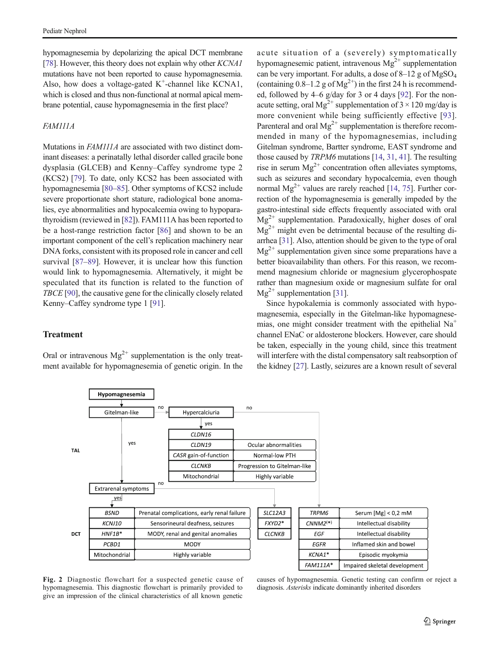<span id="page-8-0"></span>hypomagnesemia by depolarizing the apical DCT membrane [\[78\]](#page-12-0). However, this theory does not explain why other KCNA1 mutations have not been reported to cause hypomagnesemia. Also, how does a voltage-gated  $K^+$ -channel like KCNA1, which is closed and thus non-functional at normal apical membrane potential, cause hypomagnesemia in the first place?

### FAM111A

Mutations in FAM111A are associated with two distinct dominant diseases: a perinatally lethal disorder called gracile bone dysplasia (GLCEB) and Kenny–Caffey syndrome type 2 (KCS2) [[79\]](#page-12-0). To date, only KCS2 has been associated with hypomagnesemia [[80](#page-12-0)–[85\]](#page-12-0). Other symptoms of KCS2 include severe proportionate short stature, radiological bone anomalies, eye abnormalities and hypocalcemia owing to hypoparathyroidism (reviewed in [\[82\]](#page-12-0)). FAM111A has been reported to be a host-range restriction factor [[86\]](#page-12-0) and shown to be an important component of the cell's replication machinery near DNA forks, consistent with its proposed role in cancer and cell survival [[87](#page-12-0)–[89](#page-12-0)]. However, it is unclear how this function would link to hypomagnesemia. Alternatively, it might be speculated that its function is related to the function of TBCE [\[90\]](#page-12-0), the causative gene for the clinically closely related Kenny–Caffey syndrome type 1 [[91\]](#page-12-0).

## **Treatment**

Oral or intravenous  $Mg^{2+}$  supplementation is the only treatment available for hypomagnesemia of genetic origin. In the

acute situation of a (severely) symptomatically hypomagnesemic patient, intravenous  $Mg^{2+}$  supplementation can be very important. For adults, a dose of  $8-12$  g of MgSO<sub>4</sub> (containing  $0.8-1.2$  g of Mg<sup>2+</sup>) in the first 24 h is recommended, followed by 4–6 g/day for 3 or 4 days [\[92\]](#page-12-0). For the nonacute setting, oral  $Mg^{2+}$  supplementation of  $3 \times 120$  mg/day is more convenient while being sufficiently effective [[93](#page-12-0)]. Parenteral and oral  $Mg^{2+}$  supplementation is therefore recommended in many of the hypomagnesemias, including Gitelman syndrome, Bartter syndrome, EAST syndrome and those caused by TRPM6 mutations [\[14,](#page-10-0) [31,](#page-10-0) [41](#page-10-0)]. The resulting rise in serum  $Mg^{2+}$  concentration often alleviates symptoms, such as seizures and secondary hypocalcemia, even though normal  $Mg^{2+}$  values are rarely reached [\[14](#page-10-0), [75](#page-11-0)]. Further correction of the hypomagnesemia is generally impeded by the gastro-intestinal side effects frequently associated with oral  $Mg^{2+}$  supplementation. Paradoxically, higher doses of oral  $Mg^{2+}$  might even be detrimental because of the resulting diarrhea [[31](#page-10-0)]. Also, attention should be given to the type of oral  $Mg^{2+}$  supplementation given since some preparations have a better bioavailability than others. For this reason, we recommend magnesium chloride or magnesium glycerophospate rather than magnesium oxide or magnesium sulfate for oral  $Mg^{2+}$  supplementation [\[31\]](#page-10-0).

Since hypokalemia is commonly associated with hypomagnesemia, especially in the Gitelman-like hypomagnesemias, one might consider treatment with the epithelial  $Na<sup>+</sup>$ channel ENaC or aldosterone blockers. However, care should be taken, especially in the young child, since this treatment will interfere with the distal compensatory salt reabsorption of the kidney [[27](#page-10-0)]. Lastly, seizures are a known result of several



Fig. 2 Diagnostic flowchart for a suspected genetic cause of hypomagnesemia. This diagnostic flowchart is primarily provided to give an impression of the clinical characteristics of all known genetic

causes of hypomagnesemia. Genetic testing can confirm or reject a diagnosis. Asterisks indicate dominantly inherited disorders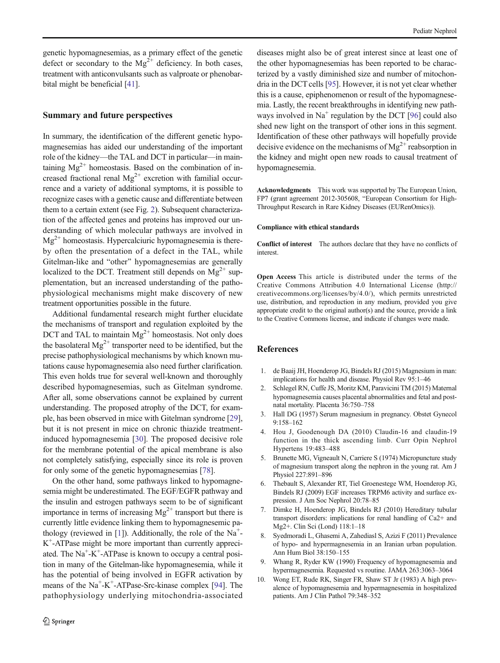<span id="page-9-0"></span>genetic hypomagnesemias, as a primary effect of the genetic defect or secondary to the  $Mg^{2+}$  deficiency. In both cases, treatment with anticonvulsants such as valproate or phenobarbital might be beneficial [\[41](#page-10-0)].

### Summary and future perspectives

In summary, the identification of the different genetic hypomagnesemias has aided our understanding of the important role of the kidney—the TAL and DCT in particular—in maintaining  $Mg^{2+}$  homeostasis. Based on the combination of increased fractional renal  $Mg^{2+}$  excretion with familial occurrence and a variety of additional symptoms, it is possible to recognize cases with a genetic cause and differentiate between them to a certain extent (see Fig. [2](#page-8-0)). Subsequent characterization of the affected genes and proteins has improved our understanding of which molecular pathways are involved in  $Mg^{2+}$  homeostasis. Hypercalciuric hypomagnesemia is thereby often the presentation of a defect in the TAL, while Gitelman-like and "other" hypomagnesemias are generally localized to the DCT. Treatment still depends on  $Mg^{2+}$  supplementation, but an increased understanding of the pathophysiological mechanisms might make discovery of new treatment opportunities possible in the future.

Additional fundamental research might further elucidate the mechanisms of transport and regulation exploited by the DCT and TAL to maintain  $Mg^{2+}$  homeostasis. Not only does the basolateral  $Mg^{2+}$  transporter need to be identified, but the precise pathophysiological mechanisms by which known mutations cause hypomagnesemia also need further clarification. This even holds true for several well-known and thoroughly described hypomagnesemias, such as Gitelman syndrome. After all, some observations cannot be explained by current understanding. The proposed atrophy of the DCT, for example, has been observed in mice with Gitelman syndrome [[29\]](#page-10-0), but it is not present in mice on chronic thiazide treatmentinduced hypomagnesemia [[30\]](#page-10-0). The proposed decisive role for the membrane potential of the apical membrane is also not completely satisfying, especially since its role is proven for only some of the genetic hypomagnesemias [\[78\]](#page-12-0).

On the other hand, some pathways linked to hypomagnesemia might be underestimated. The EGF/EGFR pathway and the insulin and estrogen pathways seem to be of significant importance in terms of increasing  $Mg^{2+}$  transport but there is currently little evidence linking them to hypomagnesemic pathology (reviewed in [1]). Additionally, the role of the  $Na<sup>+</sup>$ K+ -ATPase might be more important than currently appreciated. The Na<sup>+</sup>-K<sup>+</sup>-ATPase is known to occupy a central position in many of the Gitelman-like hypomagnesemia, while it has the potential of being involved in EGFR activation by means of the Na<sup>+</sup>-K<sup>+</sup>-ATPase-Src-kinase complex [\[94](#page-12-0)]. The pathophysiology underlying mitochondria-associated

diseases might also be of great interest since at least one of the other hypomagnesemias has been reported to be characterized by a vastly diminished size and number of mitochondria in the DCT cells [[95](#page-12-0)]. However, it is not yet clear whether this is a cause, epiphenomenon or result of the hypomagnesemia. Lastly, the recent breakthroughs in identifying new pathways involved in  $Na<sup>+</sup>$  regulation by the DCT [[96](#page-12-0)] could also shed new light on the transport of other ions in this segment. Identification of these other pathways will hopefully provide decisive evidence on the mechanisms of  $Mg^{2+}$  reabsorption in the kidney and might open new roads to causal treatment of hypomagnesemia.

Acknowledgments This work was supported by The European Union, FP7 (grant agreement 2012-305608, "European Consortium for High-Throughput Research in Rare Kidney Diseases (EURenOmics)).

#### Compliance with ethical standards

Conflict of interest The authors declare that they have no conflicts of interest.

Open Access This article is distributed under the terms of the Creative Commons Attribution 4.0 International License (http:// creativecommons.org/licenses/by/4.0/), which permits unrestricted use, distribution, and reproduction in any medium, provided you give appropriate credit to the original author(s) and the source, provide a link to the Creative Commons license, and indicate if changes were made.

### **References**

- 1. de Baaij JH, Hoenderop JG, Bindels RJ (2015) Magnesium in man: implications for health and disease. Physiol Rev 95:1–46
- 2. Schlegel RN, Cuffe JS, Moritz KM, Paravicini TM (2015) Maternal hypomagnesemia causes placental abnormalities and fetal and postnatal mortality. Placenta 36:750–758
- 3. Hall DG (1957) Serum magnesium in pregnancy. Obstet Gynecol 9:158–162
- 4. Hou J, Goodenough DA (2010) Claudin-16 and claudin-19 function in the thick ascending limb. Curr Opin Nephrol Hypertens 19:483–488
- 5. Brunette MG, Vigneault N, Carriere S (1974) Micropuncture study of magnesium transport along the nephron in the young rat. Am J Physiol 227:891–896
- 6. Thebault S, Alexander RT, Tiel Groenestege WM, Hoenderop JG, Bindels RJ (2009) EGF increases TRPM6 activity and surface expression. J Am Soc Nephrol 20:78–85
- 7. Dimke H, Hoenderop JG, Bindels RJ (2010) Hereditary tubular transport disorders: implications for renal handling of Ca2+ and Mg2+. Clin Sci (Lond) 118:1–18
- 8. Syedmoradi L, Ghasemi A, Zahediasl S, Azizi F (2011) Prevalence of hypo- and hypermagnesemia in an Iranian urban population. Ann Hum Biol 38:150–155
- 9. Whang R, Ryder KW (1990) Frequency of hypomagnesemia and hypermagnesemia. Requested vs routine. JAMA 263:3063–3064
- 10. Wong ET, Rude RK, Singer FR, Shaw ST Jr (1983) A high prevalence of hypomagnesemia and hypermagnesemia in hospitalized patients. Am J Clin Pathol 79:348–352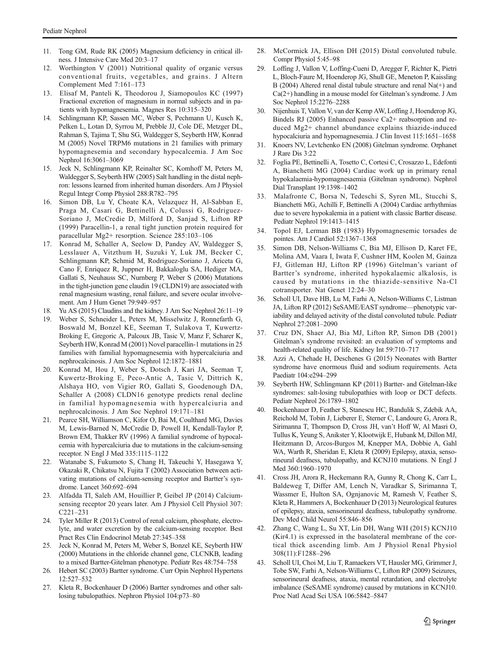- <span id="page-10-0"></span>11. Tong GM, Rude RK (2005) Magnesium deficiency in critical illness. J Intensive Care Med 20:3–17
- 12. Worthington V (2001) Nutritional quality of organic versus conventional fruits, vegetables, and grains. J Altern Complement Med 7:161–173
- 13. Elisaf M, Panteli K, Theodorou J, Siamopoulos KC (1997) Fractional excretion of magnesium in normal subjects and in patients with hypomagnesemia. Magnes Res 10:315–320
- 14. Schlingmann KP, Sassen MC, Weber S, Pechmann U, Kusch K, Pelken L, Lotan D, Syrrou M, Prebble JJ, Cole DE, Metzger DL, Rahman S, Tajima T, Shu SG, Waldegger S, Seyberth HW, Konrad M (2005) Novel TRPM6 mutations in 21 families with primary hypomagnesemia and secondary hypocalcemia. J Am Soc Nephrol 16:3061–3069
- 15. Jeck N, Schlingmann KP, Reinalter SC, Komhoff M, Peters M, Waldegger S, Seyberth HW (2005) Salt handling in the distal nephron: lessons learned from inherited human disorders. Am J Physiol Regul Integr Comp Physiol 288:R782–795
- 16. Simon DB, Lu Y, Choate KA, Velazquez H, Al-Sabban E, Praga M, Casari G, Bettinelli A, Colussi G, Rodriguez-Soriano J, McCredie D, Milford D, Sanjad S, Lifton RP (1999) Paracellin-1, a renal tight junction protein required for paracellular Mg2+ resorption. Science 285:103–106
- 17. Konrad M, Schaller A, Seelow D, Pandey AV, Waldegger S, Lesslauer A, Vitzthum H, Suzuki Y, Luk JM, Becker C, Schlingmann KP, Schmid M, Rodriguez-Soriano J, Ariceta G, Cano F, Enriquez R, Juppner H, Bakkaloglu SA, Hediger MA, Gallati S, Neuhauss SC, Nurnberg P, Weber S (2006) Mutations in the tight-junction gene claudin 19 (CLDN19) are associated with renal magnesium wasting, renal failure, and severe ocular involvement. Am J Hum Genet 79:949–957
- 18. Yu AS (2015) Claudins and the kidney. J Am Soc Nephrol 26:11–19
- 19. Weber S, Schneider L, Peters M, Misselwitz J, Ronnefarth G, Boswald M, Bonzel KE, Seeman T, Sulakova T, Kuwertz-Broking E, Gregoric A, Palcoux JB, Tasic V, Manz F, Scharer K, Seyberth HW, Konrad M (2001) Novel paracellin-1 mutations in 25 families with familial hypomagnesemia with hypercalciuria and nephrocalcinosis. J Am Soc Nephrol 12:1872–1881
- 20. Konrad M, Hou J, Weber S, Dotsch J, Kari JA, Seeman T, Kuwertz-Broking E, Peco-Antic A, Tasic V, Dittrich K, Alshaya HO, von Vigier RO, Gallati S, Goodenough DA, Schaller A (2008) CLDN16 genotype predicts renal decline in familial hypomagnesemia with hypercalciuria and nephrocalcinosis. J Am Soc Nephrol 19:171–181
- 21. Pearce SH, Williamson C, Kifor O, Bai M, Coulthard MG, Davies M, Lewis-Barned N, McCredie D, Powell H, Kendall-Taylor P, Brown EM, Thakker RV (1996) A familial syndrome of hypocalcemia with hypercalciuria due to mutations in the calcium-sensing receptor. N Engl J Med 335:1115–1122
- 22. Watanabe S, Fukumoto S, Chang H, Takeuchi Y, Hasegawa Y, Okazaki R, Chikatsu N, Fujita T (2002) Association between activating mutations of calcium-sensing receptor and Bartter's syndrome. Lancet 360:692–694
- 23. Alfadda TI, Saleh AM, Houillier P, Geibel JP (2014) Calciumsensing receptor 20 years later. Am J Physiol Cell Physiol 307: C221–231
- 24. Tyler Miller R (2013) Control of renal calcium, phosphate, electrolyte, and water excretion by the calcium-sensing receptor. Best Pract Res Clin Endocrinol Metab 27:345–358
- 25. Jeck N, Konrad M, Peters M, Weber S, Bonzel KE, Seyberth HW (2000) Mutations in the chloride channel gene, CLCNKB, leading to a mixed Bartter-Gitelman phenotype. Pediatr Res 48:754–758
- 26. Hebert SC (2003) Bartter syndrome. Curr Opin Nephrol Hypertens 12:527–532
- 27. Kleta R, Bockenhauer D (2006) Bartter syndromes and other saltlosing tubulopathies. Nephron Physiol 104:p73–80
- 28. McCormick JA, Ellison DH (2015) Distal convoluted tubule. Compr Physiol 5:45–98
- 29. Loffing J, Vallon V, Loffing-Cueni D, Aregger F, Richter K, Pietri L, Bloch-Faure M, Hoenderop JG, Shull GE, Meneton P, Kaissling B (2004) Altered renal distal tubule structure and renal Na(+) and Ca(2+) handling in a mouse model for Gitelman's syndrome. J Am Soc Nephrol 15:2276–2288
- 30. Nijenhuis T, Vallon V, van der Kemp AW, Loffing J, Hoenderop JG, Bindels RJ (2005) Enhanced passive Ca2+ reabsorption and reduced Mg2+ channel abundance explains thiazide-induced hypocalciuria and hypomagnesemia. J Clin Invest 115:1651–1658
- 31. Knoers NV, Levtchenko EN (2008) Gitelman syndrome. Orphanet J Rare Dis 3:22
- 32. Foglia PE, Bettinelli A, Tosetto C, Cortesi C, Crosazzo L, Edefonti A, Bianchetti MG (2004) Cardiac work up in primary renal hypokalaemia-hypomagnesaemia (Gitelman syndrome). Nephrol Dial Transplant 19:1398–1402
- 33. Malafronte C, Borsa N, Tedeschi S, Syren ML, Stucchi S, Bianchetti MG, Achilli F, Bettinelli A (2004) Cardiac arrhythmias due to severe hypokalemia in a patient with classic Bartter disease. Pediatr Nephrol 19:1413–1415
- 34. Topol EJ, Lerman BB (1983) Hypomagnesemic torsades de pointes. Am J Cardiol 52:1367–1368
- 35. Simon DB, Nelson-Williams C, Bia MJ, Ellison D, Karet FE, Molina AM, Vaara I, Iwata F, Cushner HM, Koolen M, Gainza FJ, Gitleman HJ, Lifton RP (1996) Gitelman's variant of Bartter's syndrome, inherited hypokalaemic alkalosis, is caused by mutations in the thiazide-sensitive Na-Cl cotransporter. Nat Genet 12:24–30
- 36. Scholl UI, Dave HB, Lu M, Farhi A, Nelson-Williams C, Listman JA, Lifton RP (2012) SeSAME/EAST syndrome—phenotypic variability and delayed activity of the distal convoluted tubule. Pediatr Nephrol 27:2081–2090
- 37. Cruz DN, Shaer AJ, Bia MJ, Lifton RP, Simon DB (2001) Gitelman's syndrome revisited: an evaluation of symptoms and health-related quality of life. Kidney Int 59:710–717
- 38. Azzi A, Chehade H, Deschenes G (2015) Neonates with Bartter syndrome have enormous fluid and sodium requirements. Acta Paediatr 104:e294–299
- 39. Seyberth HW, Schlingmann KP (2011) Bartter- and Gitelman-like syndromes: salt-losing tubulopathies with loop or DCT defects. Pediatr Nephrol 26:1789–1802
- 40. Bockenhauer D, Feather S, Stanescu HC, Bandulik S, Zdebik AA, Reichold M, Tobin J, Lieberer E, Sterner C, Landoure G, Arora R, Sirimanna T, Thompson D, Cross JH, van't Hoff W, Al Masri O, Tullus K, Yeung S, Anikster Y, Klootwijk E, Hubank M, Dillon MJ, Heitzmann D, Arcos-Burgos M, Knepper MA, Dobbie A, Gahl WA, Warth R, Sheridan E, Kleta R (2009) Epilepsy, ataxia, sensorineural deafness, tubulopathy, and KCNJ10 mutations. N Engl J Med 360:1960–1970
- 41. Cross JH, Arora R, Heckemann RA, Gunny R, Chong K, Carr L, Baldeweg T, Differ AM, Lench N, Varadkar S, Sirimanna T, Wassmer E, Hulton SA, Ognjanovic M, Ramesh V, Feather S, Kleta R, Hammers A, Bockenhauer D (2013) Neurological features of epilepsy, ataxia, sensorineural deafness, tubulopathy syndrome. Dev Med Child Neurol 55:846–856
- 42. Zhang C, Wang L, Su XT, Lin DH, Wang WH (2015) KCNJ10 (Kir4.1) is expressed in the basolateral membrane of the cortical thick ascending limb. Am J Physiol Renal Physiol 308(11):F1288–296
- 43. Scholl UI, Choi M, Liu T, Ramaekers VT, Hausler MG, Grimmer J, Tobe SW, Farhi A, Nelson-Williams C, Lifton RP (2009) Seizures, sensorineural deafness, ataxia, mental retardation, and electrolyte imbalance (SeSAME syndrome) caused by mutations in KCNJ10. Proc Natl Acad Sci USA 106:5842–5847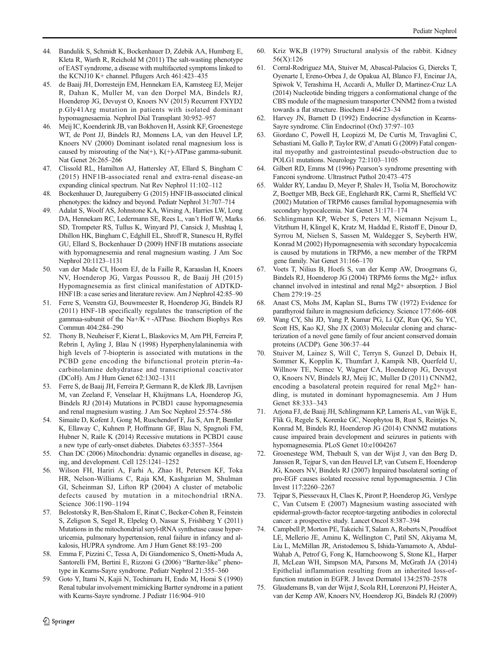- <span id="page-11-0"></span>44. Bandulik S, Schmidt K, Bockenhauer D, Zdebik AA, Humberg E, Kleta R, Warth R, Reichold M (2011) The salt-wasting phenotype of EAST syndrome, a disease with multifaceted symptoms linked to the KCNJ10 K+ channel. Pflugers Arch 461:423–435
- 45. de Baaij JH, Dorresteijn EM, Hennekam EA, Kamsteeg EJ, Meijer R, Dahan K, Muller M, van den Dorpel MA, Bindels RJ, Hoenderop JG, Devuyst O, Knoers NV (2015) Recurrent FXYD2 p.Gly41Arg mutation in patients with isolated dominant hypomagnesaemia. Nephrol Dial Transplant 30:952–957
- 46. Meij IC, Koenderink JB, van Bokhoven H, Assink KF, Groenestege WT, de Pont JJ, Bindels RJ, Monnens LA, van den Heuvel LP, Knoers NV (2000) Dominant isolated renal magnesium loss is caused by misrouting of the Na(+),  $K(+)$ -ATPase gamma-subunit. Nat Genet 26:265–266
- 47. Clissold RL, Hamilton AJ, Hattersley AT, Ellard S, Bingham C (2015) HNF1B-associated renal and extra-renal disease-an expanding clinical spectrum. Nat Rev Nephrol 11:102–112
- 48. Bockenhauer D, Jaureguiberry G (2015) HNF1B-associated clinical phenotypes: the kidney and beyond. Pediatr Nephrol 31:707–714
- 49. Adalat S, Woolf AS, Johnstone KA, Wirsing A, Harries LW, Long DA, Hennekam RC, Ledermann SE, Rees L, van't Hoff W, Marks SD, Trompeter RS, Tullus K, Winyard PJ, Cansick J, Mushtaq I, Dhillon HK, Bingham C, Edghill EL, Shroff R, Stanescu H, Ryffel GU, Ellard S, Bockenhauer D (2009) HNF1B mutations associate with hypomagnesemia and renal magnesium wasting. J Am Soc Nephrol 20:1123–1131
- 50. van der Made CI, Hoorn EJ, de la Faille R, Karaaslan H, Knoers NV, Hoenderop JG, Vargas Poussou R, de Baaij JH (2015) Hypomagnesemia as first clinical manifestation of ADTKD-HNF1B: a case series and literature review. Am J Nephrol 42:85–90
- 51. Ferre S, Veenstra GJ, Bouwmeester R, Hoenderop JG, Bindels RJ (2011) HNF-1B specifically regulates the transcription of the gammaa-subunit of the Na+/K + -ATPase. Biochem Biophys Res Commun 404:284–290
- 52. Thony B, Neuheiser F, Kierat L, Blaskovics M, Arn PH, Ferreira P, Rebrin I, Ayling J, Blau N (1998) Hyperphenylalaninemia with high levels of 7-biopterin is associated with mutations in the PCBD gene encoding the bifunctional protein pterin-4acarbinolamine dehydratase and transcriptional coactivator (DCoH). Am J Hum Genet 62:1302–1311
- 53. Ferre S, de Baaij JH, Ferreira P, Germann R, de Klerk JB, Lavrijsen M, van Zeeland F, Venselaar H, Kluijtmans LA, Hoenderop JG, Bindels RJ (2014) Mutations in PCBD1 cause hypomagnesemia and renal magnesium wasting. J Am Soc Nephrol 25:574–586
- 54. Simaite D, Kofent J, Gong M, Ruschendorf F, Jia S, Arn P, Bentler K, Ellaway C, Kuhnen P, Hoffmann GF, Blau N, Spagnoli FM, Hubner N, Raile K (2014) Recessive mutations in PCBD1 cause a new type of early-onset diabetes. Diabetes 63:3557–3564
- 55. Chan DC (2006) Mitochondria: dynamic organelles in disease, aging, and development. Cell 125:1241–1252
- 56. Wilson FH, Hariri A, Farhi A, Zhao H, Petersen KF, Toka HR, Nelson-Williams C, Raja KM, Kashgarian M, Shulman GI, Scheinman SJ, Lifton RP (2004) A cluster of metabolic defects caused by mutation in a mitochondrial tRNA. Science 306:1190–1194
- 57. Belostotsky R, Ben-Shalom E, Rinat C, Becker-Cohen R, Feinstein S, Zeligson S, Segel R, Elpeleg O, Nassar S, Frishberg Y (2011) Mutations in the mitochondrial seryl-tRNA synthetase cause hyperuricemia, pulmonary hypertension, renal failure in infancy and alkalosis, HUPRA syndrome. Am J Hum Genet 88:193–200
- 58. Emma F, Pizzini C, Tessa A, Di Giandomenico S, Onetti-Muda A, Santorelli FM, Bertini E, Rizzoni G (2006) "Bartter-like" phenotype in Kearns-Sayre syndrome. Pediatr Nephrol 21:355–360
- 59. Goto Y, Itami N, Kajii N, Tochimaru H, Endo M, Horai S (1990) Renal tubular involvement mimicking Bartter syndrome in a patient with Kearns-Sayre syndrome. J Pediatr 116:904–910
- 60. Kriz WK,B (1979) Structural analysis of the rabbit. Kidney 56(X):126
- 61. Corral-Rodriguez MA, Stuiver M, Abascal-Palacios G, Diercks T, Oyenarte I, Ereno-Orbea J, de Opakua AI, Blanco FJ, Encinar JA, Spiwok V, Terashima H, Accardi A, Muller D, Martinez-Cruz LA (2014) Nucleotide binding triggers a conformational change of the CBS module of the magnesium transporter CNNM2 from a twisted towards a flat structure. Biochem J 464:23–34
- 62. Harvey JN, Barnett D (1992) Endocrine dysfunction in Kearns-Sayre syndrome. Clin Endocrinol (Oxf) 37:97–103
- 63. Giordano C, Powell H, Leopizzi M, De Curtis M, Travaglini C, Sebastiani M, Gallo P, Taylor RW, d'Amati G (2009) Fatal congenital myopathy and gastrointestinal pseudo-obstruction due to POLG1 mutations. Neurology 72:1103–1105
- 64. Gilbert RD, Emms M (1996) Pearson's syndrome presenting with Fanconi syndrome. Ultrastruct Pathol 20:473–475
- 65. Walder RY, Landau D, Meyer P, Shalev H, Tsolia M, Borochowitz Z, Boettger MB, Beck GE, Englehardt RK, Carmi R, Sheffield VC (2002) Mutation of TRPM6 causes familial hypomagnesemia with secondary hypocalcemia. Nat Genet 31:171–174
- 66. Schlingmann KP, Weber S, Peters M, Niemann Nejsum L, Vitzthum H, Klingel K, Kratz M, Haddad E, Ristoff E, Dinour D, Syrrou M, Nielsen S, Sassen M, Waldegger S, Seyberth HW, Konrad M (2002) Hypomagnesemia with secondary hypocalcemia is caused by mutations in TRPM6, a new member of the TRPM gene family. Nat Genet 31:166–170
- Voets T, Nilius B, Hoefs S, van der Kemp AW, Droogmans G, Bindels RJ, Hoenderop JG (2004) TRPM6 forms the Mg2+ influx channel involved in intestinal and renal Mg2+ absorption. J Biol Chem 279:19–25
- Anast CS, Mohs JM, Kaplan SL, Burns TW (1972) Evidence for parathyroid failure in magnesium deficiency. Science 177:606–608
- 69. Wang CY, Shi JD, Yang P, Kumar PG, Li QZ, Run QG, Su YC, Scott HS, Kao KJ, She JX (2003) Molecular cloning and characterization of a novel gene family of four ancient conserved domain proteins (ACDP). Gene 306:37–44
- 70. Stuiver M, Lainez S, Will C, Terryn S, Gunzel D, Debaix H, Sommer K, Kopplin K, Thumfart J, Kampik NB, Querfeld U, Willnow TE, Nemec V, Wagner CA, Hoenderop JG, Devuyst O, Knoers NV, Bindels RJ, Meij IC, Muller D (2011) CNNM2, encoding a basolateral protein required for renal Mg2+ handling, is mutated in dominant hypomagnesemia. Am J Hum Genet 88:333–343
- 71. Arjona FJ, de Baaij JH, Schlingmann KP, Lameris AL, van Wijk E, Flik G, Regele S, Korenke GC, Neophytou B, Rust S, Reintjes N, Konrad M, Bindels RJ, Hoenderop JG (2014) CNNM2 mutations cause impaired brain development and seizures in patients with hypomagnesemia. PLoS Genet 10:e1004267
- 72. Groenestege WM, Thebault S, van der Wijst J, van den Berg D, Janssen R, Tejpar S, van den Heuvel LP, van Cutsem E, Hoenderop JG, Knoers NV, Bindels RJ (2007) Impaired basolateral sorting of pro-EGF causes isolated recessive renal hypomagnesemia. J Clin Invest 117:2260–2267
- 73. Tejpar S, Piessevaux H, Claes K, Piront P, Hoenderop JG, Verslype C, Van Cutsem E (2007) Magnesium wasting associated with epidermal-growth-factor receptor-targeting antibodies in colorectal cancer: a prospective study. Lancet Oncol 8:387–394
- 74. Campbell P, Morton PE, Takeichi T, Salam A, Roberts N, Proudfoot LE, Mellerio JE, Aminu K, Wellington C, Patil SN, Akiyama M, Liu L, McMillan JR, Aristodemou S, Ishida-Yamamoto A, Abdul-Wahab A, Petrof G, Fong K, Harnchoowong S, Stone KL, Harper JI, McLean WH, Simpson MA, Parsons M, McGrath JA (2014) Epithelial inflammation resulting from an inherited loss-offunction mutation in EGFR. J Invest Dermatol 134:2570–2578
- 75. Glaudemans B, van der Wijst J, Scola RH, Lorenzoni PJ, Heister A, van der Kemp AW, Knoers NV, Hoenderop JG, Bindels RJ (2009)